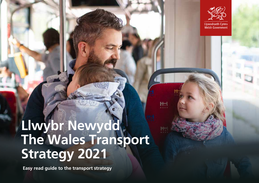

# **Llwybr Newydd The Wales Transport Strategy 2021**

**Easy read guide to the transport strategy**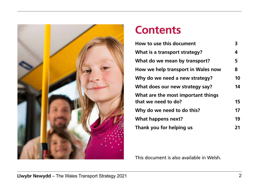

#### **Contents**

| How to use this document           | 3  |
|------------------------------------|----|
| What is a transport strategy?      | 4  |
| What do we mean by transport?      | 5  |
| How we help transport in Wales now | 8  |
| Why do we need a new strategy?     | 10 |
| What does our new strategy say?    | 14 |
| What are the most important things |    |
| that we need to do?                | 15 |
| Why do we need to do this?         | 17 |
| What happens next?                 | 19 |
| Thank you for helping us           | 21 |

This document is also available in Welsh.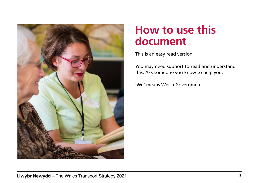

## **How to use this document**

This is an easy read version.

You may need support to read and understand this. Ask someone you know to help you.

'We' means Welsh Government.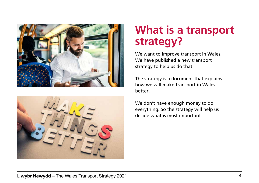



## **What is a transport strategy?**

We want to improve transport in Wales. We have published a new transport strategy to help us do that.

The strategy is a document that explains how we will make transport in Wales better.

We don't have enough money to do everything. So the strategy will help us decide what is most important.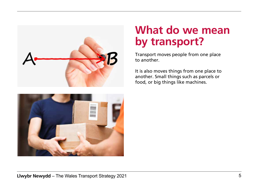



## **What do we mean by transport?**

Transport moves people from one place to another.

It is also moves things from one place to another. Small things such as parcels or food, or big things like machines.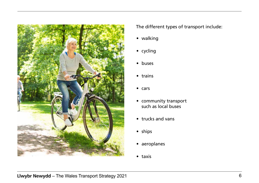

The different types of transport include:

- walking
- cycling
- buses
- trains
- cars
- community transport such as local buses
- trucks and vans
- ships
- aeroplanes
- taxis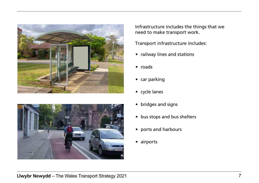



Infrastructure includes the things that we need to make transport work.

Transport infrastructure includes:

- railway lines and stations
- roads
- car parking
- cycle lanes
- bridges and signs
- bus stops and bus shelters
- ports and harbours
- airports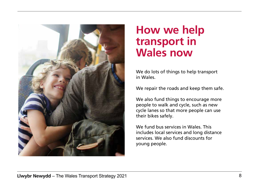

#### **How we help transport in Wales now**

We do lots of things to help transport in Wales.

We repair the roads and keep them safe.

We also fund things to encourage more people to walk and cycle, such as new cycle lanes so that more people can use their bikes safely.

We fund bus services in Wales. This includes local services and long distance services. We also fund discounts for young people.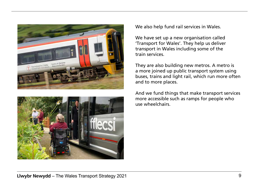



We also help fund rail services in Wales.

We have set up a new organisation called 'Transport for Wales'. They help us deliver transport in Wales including some of the train services.

They are also building new metros. A metro is a more joined up public transport system using buses, trains and light rail, which run more often and to more places.

And we fund things that make transport services more accessible such as ramps for people who use wheelchairs.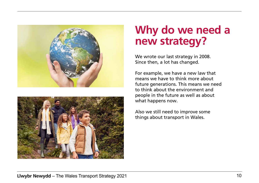



#### **Why do we need a new strategy?**

We wrote our last strategy in 2008. Since then, a lot has changed.

For example, we have a new law that means we have to think more about future generations. This means we need to think about the environment and people in the future as well as about what happens now.

Also we still need to improve some things about transport in Wales.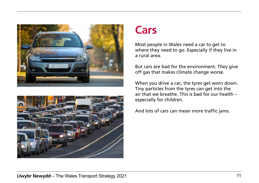



#### **Cars**

Most people in Wales need a car to get to where they need to go. Especially if they live in a rural area.

But cars are bad for the environment. They give off gas that makes climate change worse.

When you drive a car, the tyres get worn down. Tiny particles from the tyres can get into the air that we breathe. This is bad for our health – especially for children.

And lots of cars can mean more traffic jams.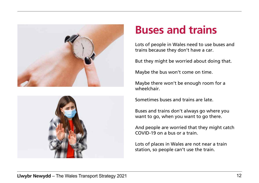



## **Buses and trains**

Lots of people in Wales need to use buses and trains because they don't have a car.

But they might be worried about doing that.

Maybe the bus won't come on time.

Maybe there won't be enough room for a wheelchair.

Sometimes buses and trains are late.

Buses and trains don't always go where you want to go, when you want to go there.

And people are worried that they might catch COVID-19 on a bus or a train.

Lots of places in Wales are not near a train station, so people can't use the train.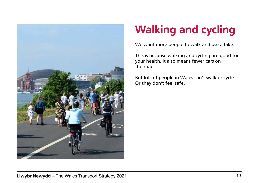

## **Walking and cycling**

We want more people to walk and use a bike.

This is because walking and cycling are good for your health. It also means fewer cars on the road.

But lots of people in Wales can't walk or cycle. Or they don't feel safe.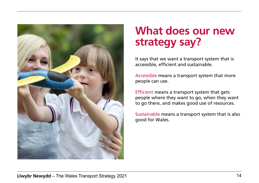

## **What does our new strategy say?**

It says that we want a transport system that is accessible, efficient and sustainable.

Accessible means a transport system that more people can use.

Efficient means a transport system that gets people where they want to go, when they want to go there, and makes good use of resources.

Sustainable means a transport system that is also good for Wales.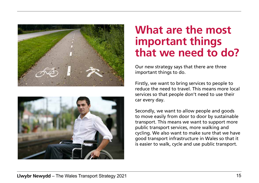



## **What are the most important things that we need to do?**

Our new strategy says that there are three important things to do.

Firstly, we want to bring services to people to reduce the need to travel. This means more local services so that people don't need to use their car every day.

Secondly, we want to allow people and goods to move easily from door to door by sustainable transport. This means we want to support more public transport services, more walking and cycling. We also want to make sure that we have good transport infrastructure in Wales so that it is easier to walk, cycle and use public transport.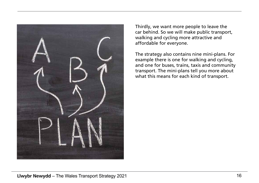

Thirdly, we want more people to leave the car behind. So we will make public transport, walking and cycling more attractive and affordable for everyone.

The strategy also contains nine mini-plans. For example there is one for walking and cycling, and one for buses, trains, taxis and community transport. The mini-plans tell you more about what this means for each kind of transport.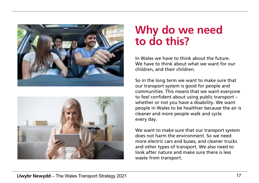



## **Why do we need to do this?**

In Wales we have to think about the future. We have to think about what we want for our children, and their children.

So in the long term we want to make sure that our transport system is good for people and communities. This means that we want everyone to feel confident about using public transport – whether or not you have a disability. We want people in Wales to be healthier because the air is cleaner and more people walk and cycle every day.

We want to make sure that our transport system does not harm the environment. So we need more electric cars and buses, and cleaner trucks and other types of transport. We also need to look after nature and make sure there is less waste from transport.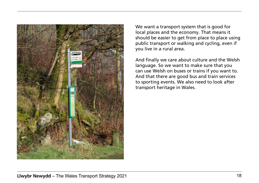

We want a transport system that is good for local places and the economy. That means it should be easier to get from place to place using public transport or walking and cycling, even if you live in a rural area.

And finally we care about culture and the Welsh language. So we want to make sure that you can use Welsh on buses or trains if you want to. And that there are good bus and train services to sporting events. We also need to look after transport heritage in Wales.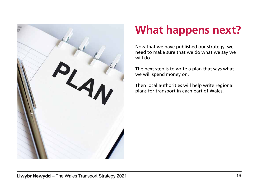

## **What happens next?**

Now that we have published our strategy, we need to make sure that we do what we say we will do.

The next step is to write a plan that says what we will spend money on.

Then local authorities will help write regional plans for transport in each part of Wales.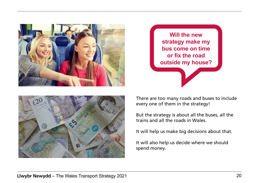





There are too many roads and buses to include every one of them in the strategy!

But the strategy is about all the buses, all the trains and all the roads in Wales.

It will help us make big decisions about that.

It will also help us decide where we should spend money.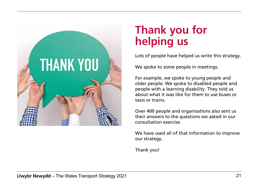

## **Thank you for helping us**

Lots of people have helped us write this strategy.

We spoke to some people in meetings.

For example, we spoke to young people and older people. We spoke to disabled people and people with a learning disability. They told us about what it was like for them to use buses or taxis or trains.

Over 400 people and organisations also sent us their answers to the questions we asked in our consultation exercise.

We have used all of that information to improve our strategy.

Thank you!